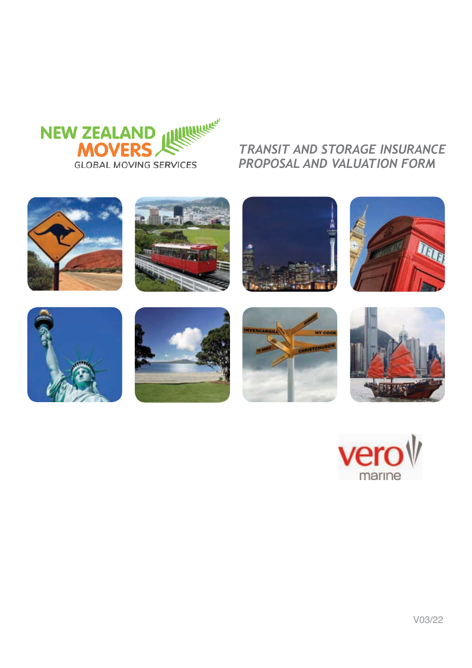

# *TRANSIT AND STORAGE INSURANCE PROPOSAL AND VALUATION FORM*

















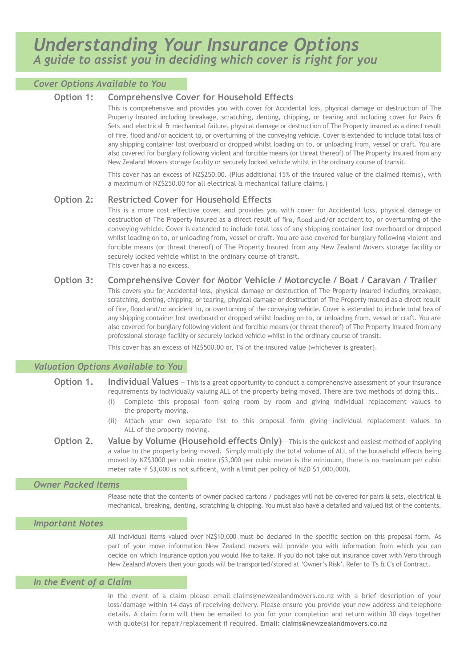# *Cover Options Available to You*

# **Option 1: Comprehensive Cover for Household Effects**

This is comprehensive and provides you with cover for Accidental loss, physical damage or destruction of The Property Insured including breakage, scratching, denting, chipping, or tearing and including cover for Pairs & Sets and electrical & mechanical failure, physical damage or destruction of The Property insured as a direct result of fire, flood and/or accident to, or overturning of the conveying vehicle. Cover is extended to include total loss of any shipping container lost overboard or dropped whilst loading on to, or unloading from, vessel or craft. You are also covered for burglary following violent and forcible means (or threat thereof) of The Property Insured from any New Zealand Movers storage facility or securely locked vehicle whilst in the ordinary course of transit.

This cover has an excess of NZ\$250.00. (Plus additional 15% of the insured value of the claimed item(s), with a maximum of NZ\$250.00 for all electrical & mechanical failure claims.)

# **Option 2: Restricted Cover for Household Effects**

This is a more cost effective cover, and provides you with cover for Accidental loss, physical damage or destruction of The Property Insured as a direct result of fire, flood and/or accident to, or overturning of the conveying vehicle. Cover is extended to include total loss of any shipping container lost overboard or dropped whilst loading on to, or unloading from, vessel or craft. You are also covered for burglary following violent and forcible means (or threat thereof) of The Property Insured from any New Zealand Movers storage facility or securely locked vehicle whilst in the ordinary course of transit. This cover has a no excess.

# **Option 3: Comprehensive Cover for Motor Vehicle / Motorcycle / Boat / Caravan / Trailer**

This covers you for Accidental loss, physical damage or destruction of The Property Insured including breakage, scratching, denting, chipping, or tearing, physical damage or destruction of The Property insured as a direct result of fire, flood and/or accident to, or overturning of the conveying vehicle. Cover is extended to include total loss of any shipping container lost overboard or dropped whilst loading on to, or unloading from, vessel or craft. You are also covered for burglary following violent and forcible means (or threat thereof) of The Property Insured from any professional storage facility or securely locked vehicle whilst in the ordinary course of transit.

This cover has an excess of NZ\$500.00 or, 1% of the insured value (whichever is greater).

# *Valuation Options Available to You*

- **Option 1.** Individual Values This is a great opportunity to conduct a comprehensive assessment of your insurance requirements by individually valuing ALL of the property being moved. There are two methods of doing this…
	- (i) Complete this proposal form going room by room and giving individual replacement values to the property moving.
	- (ii) Attach your own separate list to this proposal form giving individual replacement values to ALL of the property moving.
- **Option 2. Value by Volume (Household effects Only)** This is the quickest and easiest method of applying a value to the property being moved. Simply multiply the total volume of ALL of the household effects being moved by NZ\$3000 per cubic metre (\$3,000 per cubic meter is the minimum, there is no maximum per cubic meter rate if \$3,000 is not sufficent, with a limit per policy of NZD \$1,000,000).

# *Owner Packed Items*

Please note that the contents of owner packed cartons / packages will not be covered for pairs & sets, electrical & mechanical, breaking, denting, scratching & chipping. You must also have a detailed and valued list of the contents.

## *Important Notes*

All individual items valued over NZ\$10,000 must be declared in the specific section on this proposal form. As part of your move information New Zealand movers will provide you with information from which you can decide on which Insurance option you would like to take. If you do not take out insurance cover with Vero through New Zealand Movers then your goods will be transported/stored at 'Owner's Risk'. Refer to T's & C's of Contract.

## *In the Event of a Claim*

In the event of a claim please email claims@newzealandmovers.co.nz with a brief description of your loss/damage within 14 days of receiving delivery. Please ensure you provide your new address and telephone details. A claim form will then be emailed to you for your completion and return within 30 days together with quote(s) for repair/replacement if required. **Email: claims@newzealandmovers.co.nz**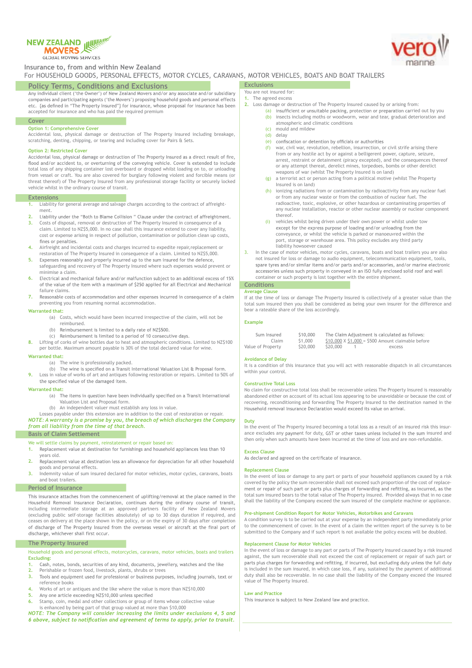# **NEW ZEALAND IN EWINGER MOVERS**

GLOBAL MOVING SERVICES

# **Insurance to, from and within New Zealand<br>For HOUSEHOLD GOODS, PERSONAL EFFECTS, MOTOR CYCLES, CARAVANS, MOTOR VEHICLES, BOATS AND BOAT TRAILERS**

**Policy Terms, Conditions and Exclusions**<br>Any individual client ('the Owner') of New Zealand Movers and/or any associate and/or subsidiary companies and participating agents ('the Movers') proposing household goods and personal effects etc. {as defined in "The Property Insured"} for insurance, whose proposal for insurance has been accepted for insurance and who has paid the required premium

#### **Cover**

### **Option 1: Comprehensive Cover**

Accidental loss, physical damage or destruction of The Property Insured including breakage, scratching, denting, chipping, or tearing and including cover for Pairs & Sets.

**Option 2: Restricted Cover**<br>Accidental loss, physical damage or destruction of The Property Insured as a direct result of fire, flood and/or accident to, or overturning of the conveying vehicle. Cover is extended to include total loss of any shipping container lost overboard or dropped whilst loading on to, or unloading from vessel or craft. You are also covered for burglary following violent and forcible means (or threat thereof) of The Property Insured from any professional storage facility or securely locked vehicle whilst in the ordinary course of transit.

#### **Extensions**

- **1.** Liability for general average and salvage charges according to the contract of affreightment.<br>Liability under the "Both to Blame Collision " Clause under the contract of affreightment.
- **2. 3.** Costs of disposal, removal or destruction of The Property Insured in consequence of a claim. Limited to NZ\$5,000. In no case shall this insurance extend to cover any liability, cost or expense arising in respect of pollution, contamination or pollution clean up costs,<br>fines or penalties
- **4.** Airfreight and incidental costs and charges incurred to expedite repair,replacement or restoration of The Property Insured in consequence of a claim. Limited to NZ\$5,000.<br>Expenses reasonably and properly incurred up to the sum insured for the defence,
- **5.** safeguarding and recovery of The Property Insured where such expenses would prevent or
- minimise a claim.<br>Electrical and mechanical failure and/or malfunction subject to an additional excess of 15% **6.** of the value of the item with a maximum of \$250 applied for all Electrical and Mechanical failure claims.
- **7.** Reasonable costs of accommodation and other expenses incurred in consequence of a claim preventing you from resuming normal accommodation.

#### **Warranted that:**

- (a) Costs, which would have been incurred irrespective of the claim, will not be reimbursed.
- (b) Reimbursement is limited to a daily rate of NZ\$500.
- (c) Reimbursement is limited to a period of 10 consecutive days.

**8.** Lifting of corks of wine bottles due to heat and atmospheric conditions. Limited to NZ\$100 per bottle. Maximum amount payable is 30% of the total declared value for wine.

#### **Warranted that:**

- (a) The wine is professionally packed.
- (b) The wine is specified on a Transit International Valuation List & Proposal form.
- **9.** Loss in value of works of art and antiques following restoration or repairs. Limited to 50% of the specified value of the damaged item.

#### **Warranted that:**

- (a) The items in question have been individually specified on a Transit International Valuation List and Proposal form.
- (b) An independent valuer must establish any loss in value.
- Losses payable under this extension are in addition to the cost of restoration or repair. *NOTE: A warranty is a promise by you, the breach of which discharges the Company from all liability from the time of that breach.*

### **Basis of Claim Settlement**

- We will settle claims by payment, reinstatement or repair based on:<br>1. Replacement value at destination for furnishings and household appliances less than 10
- **1.** years old.
- **2.** Replacement value at destination less an allowance for depreciation for all other household goods and personal effects.
- **3.** Indemnity value of sum insured declared for motor vehicles, motor cycles, caravans, boats and boat trailers.

#### **Period of Insurance**

This insurance attaches from the commencement of uplifting/removal at the place named in the Household Removal Insurance Declaration, continues during the ordinary course of transit, including intermediate storage at an approved partners facility of New Zealand Movers (excluding public self-storage facilities absolutely) of up to 30 days duration if required, and ceases on delivery at the place shown in the policy, or on the expiry of 30 days after completion of discharge of The Property Insured from the overseas vessel or aircraft at the final port of discharge, whichever shall first occur.

### **The Property Insured**

Household goods and personal effects, motorcycles, caravans, motor vehicles, boats and trailers **Excluding:**

- Cash, notes, bonds, securities of any kind, documents, jewellery, watches and the like **1.**
- 
- Perishable or frozen food, livestock, plants, shrubs or trees<br>Tools and equipment used for professional or business purposes, including journals, text or **3.** reference books
- **4.** Works of art or antiques and the like where the value is more than NZ\$10,000<br>**5.** Any one article exceeding NZ\$10.000 unless specified
- **5.**
- **6.** Stamp, coin, medal and other collections or group of items whose collective value is enhanced by being part of that group valued at more than \$10,000

*NOTE: The Company will consider increasing the limits under exclusions 4, 5 and* 

#### You are not insured for:

**Exclusions**

- **1.** The agreed excess
- **2.** Loss damage or destruction of The Property Insured caused by or arising from:
	- (a) insufficient or unsuitable packing, protection or preparation carried out by you (b) insects including moths or woodworm, wear and tear, gradual deterioration and atmospheric and climatic conditions
	- (c) mould and mildew<br>(d) delay
	- delay
	- (e) confiscation or detention by officials or authorities  $(f)$  war, civil war, revolution, rebellion, insurrection, or civil strife arising there from or any hostile act by or against a belligerent power, capture, seizure, arrest, restraint or detainment (piracy excepted), and the consequences thereof
	- or any attempt thereat, derelict mines, torpedoes, bombs or other derelict weapons of war (whilst The Property Insured is on land) (g) a terrorist act or person acting from a political motive (whilst The Property
	- Insured is on land)
	- (h) ionizing radiations from or contamination by radioactivity from any nuclear fuel or from any nuclear waste or from the combustion of nuclear fuel. The radioactive, toxic, explosive, or other hazardous or contaminating properties of any nuclear installation, reactor or other nuclear assembly or nuclear component thereof.
	- (i) vehicles whilst being driven under their own power or whilst under tow except for the express purpose of loading and/or unloading from the conveyance, or whilst the vehicle is parked or manoeuvred within the port, storage or warehouse area. This policy excludes any third party liability howsoever caused
- 3. In the case of motor vehicles, motor cycles, caravans, boats and boat trailers you are also not insured for loss or damage to audio equipment, telecommunication equipment, tools, spare tyres and/or similar items and/or parts and/or accessories, and/or marine electronic accessories unless such property in conveyed in an ISO fully enclosed solid roof and wall container or such property is lost together with the entire shipment.

#### **Conditions Average Clause**

If at the time of loss or damage The Property Insured is collectively of a greater value than the total sum insured then you shall be considered as being your own insurer for the difference and bear a rateable share of the loss accordingly.

#### **Example**

| Sum Insured       | \$10,000 |          | The Claim Adjustment is calculated as follows:      |
|-------------------|----------|----------|-----------------------------------------------------|
| Claim             | \$1,000  |          | $$10,000$ X $$1,000 = $500$ Amount claimable before |
| Value of Property | \$20,000 | \$20,000 | excess                                              |

### **Avoidance of Delay**

It is a condition of this insurance that you will act with reasonable dispatch in all circumstances within your control.

#### **Constructive Total Loss**

No claim for constructive total loss shall be recoverable unless The Property Insured is reasonably abandoned either on account of its actual loss appearing to be unavoidable or because the cost of recovering, reconditioning and forwarding The Property Insured to the destination named in the Household removal Insurance Declaration would exceed its value on arrival

#### **Duty**

In the event of The Property Insured becoming a total loss as a result of an insured risk this insurance excludes any payment for duty, GST or other taxes unless included in the sum insured and then only when such amounts have been incurred at the time of loss and are non-refundable.

# **Excess Clause**<br>As declared and agreed on the certificate of insurance.

#### **Replacement Clause**

In the event of loss or damage to any part or parts of your household appliances caused by a risk covered by the policy the sum recoverable shall not exceed such proportion of the cost of replacement or repair of such part or parts plus charges of forwarding and refitting, as incurred, as the total sum insured bears to the total value of The Property Insured. Provided always that in no case shall the liability of the Company exceed the sum insured of the complete machine or appliance.

#### **Pre-shipment Condition Report for Motor Vehicles, Motorbikes and Caravans**

A condition survey is to be carried out at your expense by an independent party immediately prior to the commencement of cover. In the event of a claim the written report of the survey is to be submitted to the Company and if such report is not available the policy excess will be doubled.

#### **Replacement Clause for Motor Vehicles**

In the event of loss or damage to any part or parts of The Property Insured caused by a risk insured against, the sum recoverable shall not exceed the cost of replacement or repair of such part or<br>parts plus charges for forwarding and refitting, if incurred, but excluding duty unless the full duty is included in the sum insured, in which case loss, if any, sustained by the payment of additional duty shall also be recoverable. In no case shall the liability of the Company exceed the insured value of The Property Insured.

**Law and Practice**<br>This insurance is subject to New Zealand law and practice.

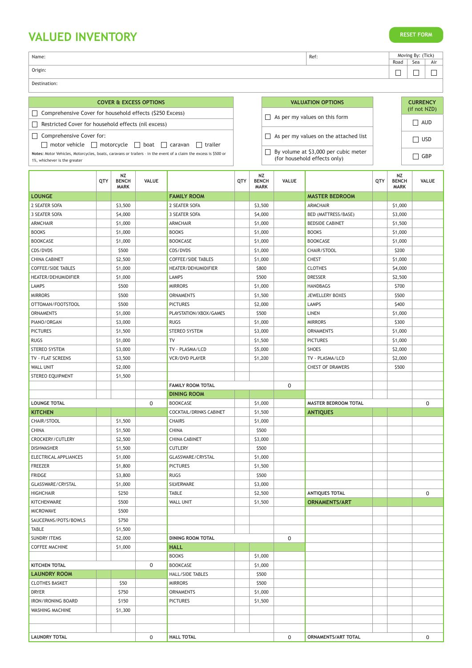# **VALUED INVENTORY**

| <b>RESET FORM</b> |  |  |  |
|-------------------|--|--|--|
|                   |  |  |  |

| Name:   | Ref: |                         | (Tick<br>Moving By: |     |  |  |
|---------|------|-------------------------|---------------------|-----|--|--|
|         |      | Road<br>Sea<br>_<br>$-$ |                     | Air |  |  |
| Origin: |      |                         |                     |     |  |  |

Destination:

### **COVER & EXCESS OPTIONS**

Comprehensive Cover for household effects (\$250 Excess)

Restricted Cover for household effects (nil excess)

Comprehensive Cover for:

 $\Box$  motor vehicle  $\Box$  motorcycle  $\Box$  boat  $\Box$  caravan  $\Box$  trailer **Notes:** Motor Vehicles, Motorcycles, boats, caravans or trailers – in the event of a claim the excess is \$500 or 1%, whichever is the greater

|              | <b>VALUATION OPTIONS</b>                                             |
|--------------|----------------------------------------------------------------------|
| $\mathbf{1}$ | As per my values on this form                                        |
| $\mathbf{1}$ | As per my values on the attached list                                |
|              | By volume at \$3,000 per cubic meter<br>(for household effects only) |

| <b>CURRENCY</b><br>(if not NZD) |
|---------------------------------|
| $\Box$ AUD                      |
| $\Box$ usd                      |
| $\Box$ GBP                      |

|                           | QTY | NZ<br><b>BENCH</b><br><b>MARK</b> | <b>VALUE</b> |                                | QTY | NZ<br><b>BENCH</b><br><b>MARK</b> | <b>VALUE</b> |                             | QTY | NZ<br><b>BENCH</b><br><b>MARK</b> | VALUE |
|---------------------------|-----|-----------------------------------|--------------|--------------------------------|-----|-----------------------------------|--------------|-----------------------------|-----|-----------------------------------|-------|
| <b>LOUNGE</b>             |     |                                   |              | <b>FAMILY ROOM</b>             |     |                                   |              | <b>MASTER BEDROOM</b>       |     |                                   |       |
| 2 SEATER SOFA             |     | \$3,500                           |              | 2 SEATER SOFA                  |     | \$3,500                           |              | <b>ARMCHAIR</b>             |     | \$1,000                           |       |
| 3 SEATER SOFA             |     | \$4,000                           |              | 3 SEATER SOFA                  |     | \$4,000                           |              | BED (MATTRESS/BASE)         |     | \$3,000                           |       |
| ARMCHAIR                  |     | \$1,000                           |              | <b>ARMCHAIR</b>                |     | \$1,000                           |              | <b>BEDSIDE CABINET</b>      |     | \$1,500                           |       |
| <b>BOOKS</b>              |     | \$1,000                           |              | <b>BOOKS</b>                   |     | \$1,000                           |              | <b>BOOKS</b>                |     | \$1,000                           |       |
| <b>BOOKCASE</b>           |     | \$1,000                           |              | <b>BOOKCASE</b>                |     | \$1,000                           |              | <b>BOOKCASE</b>             |     | \$1,000                           |       |
| CDS/DVDS                  |     | \$500                             |              | CDS/DVDS                       |     | \$1,000                           |              | CHAIR/STOOL                 |     | \$200                             |       |
| <b>CHINA CABINET</b>      |     | \$2,500                           |              | <b>COFFEE/SIDE TABLES</b>      |     | \$1,000                           |              | <b>CHEST</b>                |     | \$1,000                           |       |
| <b>COFFEE/SIDE TABLES</b> |     | \$1,000                           |              | HEATER/DEHUMIDIFIER            |     | \$800                             |              | <b>CLOTHES</b>              |     | \$4,000                           |       |
| HEATER/DEHUMIDIFIER       |     | \$1,000                           |              | LAMPS                          |     | \$500                             |              | <b>DRESSER</b>              |     | \$2,500                           |       |
| <b>LAMPS</b>              |     | \$500                             |              | <b>MIRRORS</b>                 |     | \$1,000                           |              | <b>HANDBAGS</b>             |     | \$700                             |       |
| <b>MIRRORS</b>            |     | \$500                             |              | <b>ORNAMENTS</b>               |     | \$1,500                           |              | <b>JEWELLERY BOXES</b>      |     | \$500                             |       |
| OTTOMAN/FOOTSTOOL         |     | \$500                             |              | <b>PICTURES</b>                |     | \$2,000                           |              | LAMPS                       |     | \$400                             |       |
| <b>ORNAMENTS</b>          |     | \$1,000                           |              | PLAYSTATION/XBOX/GAMES         |     | \$500                             |              | <b>LINEN</b>                |     | \$1,000                           |       |
| PIANO/ORGAN               |     | \$3,000                           |              | <b>RUGS</b>                    |     | \$1,000                           |              | <b>MIRRORS</b>              |     | \$300                             |       |
| <b>PICTURES</b>           |     | \$1,500                           |              | <b>STEREO SYSTEM</b>           |     | \$3,000                           |              | <b>ORNAMENTS</b>            |     | \$1,000                           |       |
| <b>RUGS</b>               |     | \$1,000                           |              | TV                             |     | \$1,500                           |              | <b>PICTURES</b>             |     | \$1,000                           |       |
| STEREO SYSTEM             |     | \$3,000                           |              | TV - PLASMA/LCD                |     | \$5,000                           |              | SHOES                       |     | \$2,000                           |       |
| TV - FLAT SCREENS         |     | \$3,500                           |              | <b>VCR/DVD PLAYER</b>          |     | \$1,200                           |              | TV - PLASMA/LCD             |     | \$2,000                           |       |
| WALL UNIT                 |     | \$2,000                           |              |                                |     |                                   |              | <b>CHEST OF DRAWERS</b>     |     | \$500                             |       |
| STEREO EQUIPMENT          |     | \$1,500                           |              |                                |     |                                   |              |                             |     |                                   |       |
|                           |     |                                   |              | <b>FAMILY ROOM TOTAL</b>       |     |                                   | 0            |                             |     |                                   |       |
|                           |     |                                   |              | <b>DINING ROOM</b>             |     |                                   |              |                             |     |                                   |       |
| <b>LOUNGE TOTAL</b>       |     |                                   | 0            | <b>BOOKCASE</b>                |     | \$1,000                           |              | <b>MASTER BEDROOM TOTAL</b> |     |                                   | 0     |
| <b>KITCHEN</b>            |     |                                   |              | <b>COCKTAIL/DRINKS CABINET</b> |     | \$1,500                           |              | <b>ANTIQUES</b>             |     |                                   |       |
| CHAIR/STOOL               |     | \$1,500                           |              | <b>CHAIRS</b>                  |     | \$1,000                           |              |                             |     |                                   |       |
| <b>CHINA</b>              |     | \$1,500                           |              | <b>CHINA</b>                   |     | \$500                             |              |                             |     |                                   |       |
| CROCKERY/CUTLERY          |     | \$2,500                           |              | <b>CHINA CABINET</b>           |     | \$3,000                           |              |                             |     |                                   |       |
| <b>DISHWASHER</b>         |     | \$1,500                           |              | <b>CUTLERY</b>                 |     | \$500                             |              |                             |     |                                   |       |
| ELECTRICAL APPLIANCES     |     | \$1,000                           |              | GLASSWARE/CRYSTAL              |     | \$1,000                           |              |                             |     |                                   |       |
|                           |     |                                   |              |                                |     |                                   |              |                             |     |                                   |       |
| <b>FREEZER</b>            |     | \$1,800                           |              | <b>PICTURES</b>                |     | \$1,500                           |              |                             |     |                                   |       |
| <b>FRIDGE</b>             |     | \$3,800                           |              | <b>RUGS</b>                    |     | \$500                             |              |                             |     |                                   |       |
| GLASSWARE/CRYSTAL         |     | \$1,000                           |              | SILVERWARE                     |     | \$3,000                           |              |                             |     |                                   |       |
| <b>HIGHCHAIR</b>          |     | \$250                             |              | <b>TABLE</b>                   |     | \$2,500                           |              | <b>ANTIQUES TOTAL</b>       |     |                                   | 0     |
| KITCHENWARE               |     | \$500                             |              | <b>WALL UNIT</b>               |     | \$1,500                           |              | <b>ORNAMENTS/ART</b>        |     |                                   |       |
| <b>MICROWAVE</b>          |     | \$500                             |              |                                |     |                                   |              |                             |     |                                   |       |
| SAUCEPANS/POTS/BOWLS      |     | \$750                             |              |                                |     |                                   |              |                             |     |                                   |       |
| <b>TABLE</b>              |     | \$1,500                           |              |                                |     |                                   |              |                             |     |                                   |       |
| <b>SUNDRY ITEMS</b>       |     | \$2,000                           |              | <b>DINING ROOM TOTAL</b>       |     |                                   | 0            |                             |     |                                   |       |
| <b>COFFEE MACHINE</b>     |     | \$1,000                           |              | <b>HALL</b>                    |     |                                   |              |                             |     |                                   |       |
|                           |     |                                   |              | <b>BOOKS</b>                   |     | \$1,000                           |              |                             |     |                                   |       |
| <b>KITCHEN TOTAL</b>      |     |                                   | 0            | <b>BOOKCASE</b>                |     | \$1,000                           |              |                             |     |                                   |       |
| <b>LAUNDRY ROOM</b>       |     |                                   |              | <b>HALL/SIDE TABLES</b>        |     | \$500                             |              |                             |     |                                   |       |
| <b>CLOTHES BASKET</b>     |     | \$50                              |              | <b>MIRRORS</b>                 |     | \$500                             |              |                             |     |                                   |       |
| <b>DRYER</b>              |     | \$750                             |              | <b>ORNAMENTS</b>               |     | \$1,000                           |              |                             |     |                                   |       |
| IRON/IRONING BOARD        |     | \$150                             |              | <b>PICTURES</b>                |     | \$1,500                           |              |                             |     |                                   |       |
| <b>WASHING MACHINE</b>    |     | \$1,300                           |              |                                |     |                                   |              |                             |     |                                   |       |
|                           |     |                                   |              |                                |     |                                   |              |                             |     |                                   |       |
|                           |     |                                   |              |                                |     |                                   |              |                             |     |                                   |       |
| <b>LAUNDRY TOTAL</b>      |     |                                   | 0            | <b>HALL TOTAL</b>              |     |                                   | 0            | ORNAMENTS/ART TOTAL         |     |                                   | 0     |